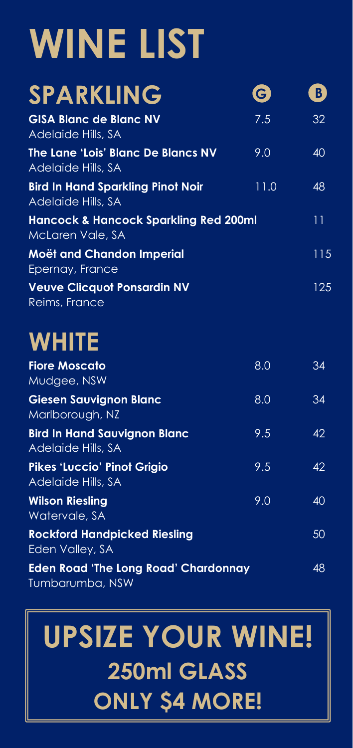## **WINE LIST**

| <b>SPARKLING</b>                                                     | $\left  \mathbf{G}\right $ | B   |
|----------------------------------------------------------------------|----------------------------|-----|
| <b>GISA Blanc de Blanc NV</b><br>Adelaide Hills, SA                  | 7.5                        | 32  |
| The Lane 'Lois' Blanc De Blancs NV<br>Adelaide Hills, SA             | 9.0                        | 40  |
| <b>Bird In Hand Sparkling Pinot Noir</b><br>Adelaide Hills, SA       | 11.0                       | 48  |
| <b>Hancock &amp; Hancock Sparkling Red 200ml</b><br>McLaren Vale, SA |                            | 11  |
| <b>Moët and Chandon Imperial</b><br>Epernay, France                  |                            | 115 |
| <b>Veuve Clicquot Ponsardin NV</b><br>Reims, France                  |                            | 125 |

#### **WHITE**

| <b>Fiore Moscato</b><br>Mudgee, NSW                            | 8.0 | 34 |
|----------------------------------------------------------------|-----|----|
| <b>Giesen Sauvignon Blanc</b><br>Marlborough, NZ               | 8.0 | 34 |
| <b>Bird In Hand Sauvignon Blanc</b><br>Adelaide Hills, SA      | 9.5 | 42 |
| <b>Pikes 'Luccio' Pinot Grigio</b><br>Adelaide Hills, SA       | 9.5 | 42 |
| <b>Wilson Riesling</b><br>Watervale, SA                        | 9.0 | 40 |
| <b>Rockford Handpicked Riesling</b><br>Eden Valley, SA         |     | 50 |
| <b>Eden Road 'The Long Road' Chardonnay</b><br>Tumbarumba, NSW |     | 48 |

### **UPSIZE YOUR WINE! 250ml GLASS ONLY \$4 MORE!**